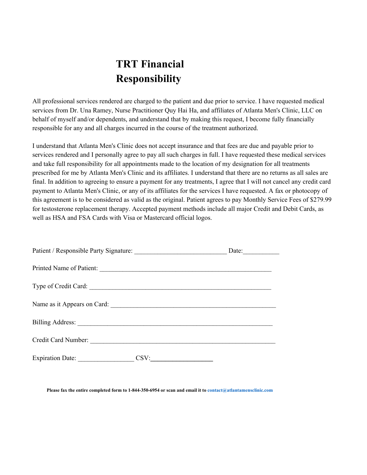## **TRT Financial Responsibility**

All professional services rendered are charged to the patient and due prior to service. I have requested medical services from Dr. Una Ramey, Nurse Practitioner Quy Hai Ha, and affiliates of Atlanta Men's Clinic, LLC on behalf of myself and/or dependents, and understand that by making this request, I become fully financially responsible for any and all charges incurred in the course of the treatment authorized.

I understand that Atlanta Men's Clinic does not accept insurance and that fees are due and payable prior to services rendered and I personally agree to pay all such charges in full. I have requested these medical services and take full responsibility for all appointments made to the location of my designation for all treatments prescribed for me by Atlanta Men's Clinic and its affiliates. I understand that there are no returns as all sales are final. In addition to agreeing to ensure a payment for any treatments, I agree that I will not cancel any credit card payment to Atlanta Men's Clinic, or any of its affiliates for the services I have requested. A fax or photocopy of this agreement is to be considered as valid as the original. Patient agrees to pay Monthly Service Fees of \$279.99 for testosterone replacement therapy. Accepted payment methods include all major Credit and Debit Cards, as well as HSA and FSA Cards with Visa or Mastercard official logos.

|                          |      | Date: |
|--------------------------|------|-------|
| Printed Name of Patient: |      |       |
| Type of Credit Card:     |      |       |
|                          |      |       |
|                          |      |       |
|                          |      |       |
| Expiration Date:         | CSV: |       |

**Please fax the entire completed form to 1-844-350-6954 or scan and email it to contact@atlantamensclinic.com**